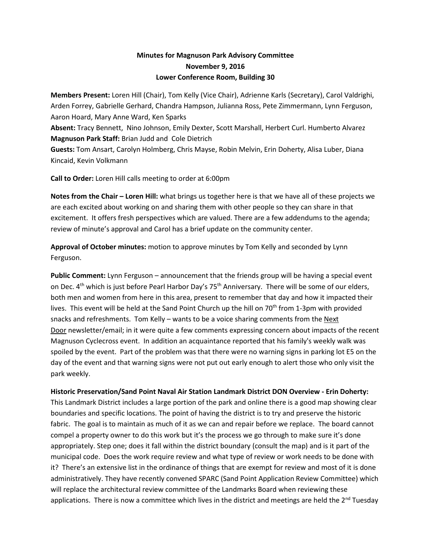## **Minutes for Magnuson Park Advisory Committee November 9, 2016 Lower Conference Room, Building 30**

**Members Present:** Loren Hill (Chair), Tom Kelly (Vice Chair), Adrienne Karls (Secretary), Carol Valdrighi, Arden Forrey, Gabrielle Gerhard, Chandra Hampson, Julianna Ross, Pete Zimmermann, Lynn Ferguson, Aaron Hoard, Mary Anne Ward, Ken Sparks

**Absent:** Tracy Bennett, Nino Johnson, Emily Dexter, Scott Marshall, Herbert Curl. Humberto Alvarez **Magnuson Park Staff:** Brian Judd andCole Dietrich

**Guests:** Tom Ansart, Carolyn Holmberg, Chris Mayse, Robin Melvin, Erin Doherty, Alisa Luber, Diana Kincaid, Kevin Volkmann

**Call to Order:** Loren Hill calls meeting to order at 6:00pm

**Notes from the Chair – Loren Hill:** what brings us together here is that we have all of these projects we are each excited about working on and sharing them with other people so they can share in that excitement. It offers fresh perspectives which are valued. There are a few addendums to the agenda; review of minute's approval and Carol has a brief update on the community center.

**Approval of October minutes:** motion to approve minutes by Tom Kelly and seconded by Lynn Ferguson.

**Public Comment:** Lynn Ferguson – announcement that the friends group will be having a special event on Dec. 4<sup>th</sup> which is just before Pearl Harbor Day's 75<sup>th</sup> Anniversary. There will be some of our elders, both men and women from here in this area, present to remember that day and how it impacted their lives. This event will be held at the Sand Point Church up the hill on 70<sup>th</sup> from 1-3pm with provided snacks and refreshments. Tom Kelly – wants to be a voice sharing comments from the Next Door newsletter/email; in it were quite a few comments expressing concern about impacts of the recent Magnuson Cyclecross event. In addition an acquaintance reported that his family's weekly walk was spoiled by the event. Part of the problem was that there were no warning signs in parking lot E5 on the day of the event and that warning signs were not put out early enough to alert those who only visit the park weekly.

**Historic Preservation/Sand Point Naval Air Station Landmark District DON Overview - Erin Doherty:**

This Landmark District includes a large portion of the park and online there is a good map showing clear boundaries and specific locations. The point of having the district is to try and preserve the historic fabric. The goal is to maintain as much of it as we can and repair before we replace. The board cannot compel a property owner to do this work but it's the process we go through to make sure it's done appropriately. Step one; does it fall within the district boundary (consult the map) and is it part of the municipal code. Does the work require review and what type of review or work needs to be done with it? There's an extensive list in the ordinance of things that are exempt for review and most of it is done administratively. They have recently convened SPARC (Sand Point Application Review Committee) which will replace the architectural review committee of the Landmarks Board when reviewing these applications. There is now a committee which lives in the district and meetings are held the  $2^{nd}$  Tuesday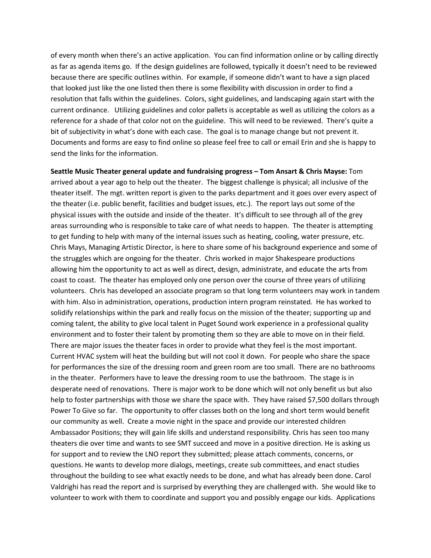of every month when there's an active application. You can find information online or by calling directly as far as agenda items go. If the design guidelines are followed, typically it doesn't need to be reviewed because there are specific outlines within. For example, if someone didn't want to have a sign placed that looked just like the one listed then there is some flexibility with discussion in order to find a resolution that falls within the guidelines. Colors, sight guidelines, and landscaping again start with the current ordinance. Utilizing guidelines and color pallets is acceptable as well as utilizing the colors as a reference for a shade of that color not on the guideline. This will need to be reviewed. There's quite a bit of subjectivity in what's done with each case. The goal is to manage change but not prevent it. Documents and forms are easy to find online so please feel free to call or email Erin and she is happy to send the links for the information.

**Seattle Music Theater general update and fundraising progress – Tom Ansart & Chris Mayse:** Tom arrived about a year ago to help out the theater. The biggest challenge is physical; all inclusive of the theater itself. The mgt. written report is given to the parks department and it goes over every aspect of the theater (i.e. public benefit, facilities and budget issues, etc.). The report lays out some of the physical issues with the outside and inside of the theater. It's difficult to see through all of the grey areas surrounding who is responsible to take care of what needs to happen. The theater is attempting to get funding to help with many of the internal issues such as heating, cooling, water pressure, etc. Chris Mays, Managing Artistic Director, is here to share some of his background experience and some of the struggles which are ongoing for the theater. Chris worked in major Shakespeare productions allowing him the opportunity to act as well as direct, design, administrate, and educate the arts from coast to coast. The theater has employed only one person over the course of three years of utilizing volunteers. Chris has developed an associate program so that long term volunteers may work in tandem with him. Also in administration, operations, production intern program reinstated. He has worked to solidify relationships within the park and really focus on the mission of the theater; supporting up and coming talent, the ability to give local talent in Puget Sound work experience in a professional quality environment and to foster their talent by promoting them so they are able to move on in their field. There are major issues the theater faces in order to provide what they feel is the most important. Current HVAC system will heat the building but will not cool it down. For people who share the space for performances the size of the dressing room and green room are too small. There are no bathrooms in the theater. Performers have to leave the dressing room to use the bathroom. The stage is in desperate need of renovations. There is major work to be done which will not only benefit us but also help to foster partnerships with those we share the space with. They have raised \$7,500 dollars through Power To Give so far. The opportunity to offer classes both on the long and short term would benefit our community as well. Create a movie night in the space and provide our interested children Ambassador Positions; they will gain life skills and understand responsibility. Chris has seen too many theaters die over time and wants to see SMT succeed and move in a positive direction. He is asking us for support and to review the LNO report they submitted; please attach comments, concerns, or questions. He wants to develop more dialogs, meetings, create sub committees, and enact studies throughout the building to see what exactly needs to be done, and what has already been done. Carol Valdrighi has read the report and is surprised by everything they are challenged with. She would like to volunteer to work with them to coordinate and support you and possibly engage our kids. Applications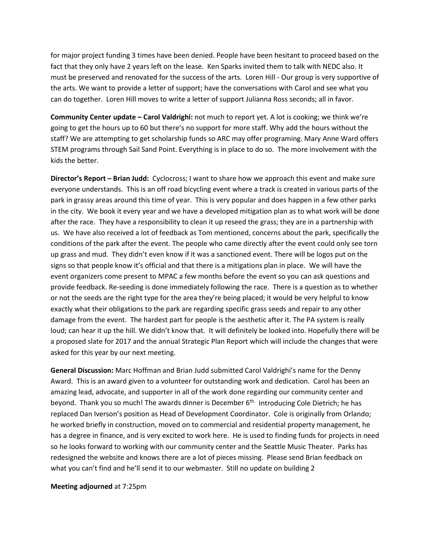for major project funding 3 times have been denied. People have been hesitant to proceed based on the fact that they only have 2 years left on the lease. Ken Sparks invited them to talk with NEDC also. It must be preserved and renovated for the success of the arts. Loren Hill - Our group is very supportive of the arts. We want to provide a letter of support; have the conversations with Carol and see what you can do together. Loren Hill moves to write a letter of support Julianna Ross seconds; all in favor.

**Community Center update – Carol Valdrighi:** not much to report yet. A lot is cooking; we think we're going to get the hours up to 60 but there's no support for more staff. Why add the hours without the staff? We are attempting to get scholarship funds so ARC may offer programing. Mary Anne Ward offers STEM programs through Sail Sand Point. Everything is in place to do so. The more involvement with the kids the better.

**Director's Report – Brian Judd:** Cyclocross; I want to share how we approach this event and make sure everyone understands. This is an off road bicycling event where a track is created in various parts of the park in grassy areas around this time of year. This is very popular and does happen in a few other parks in the city. We book it every year and we have a developed mitigation plan as to what work will be done after the race. They have a responsibility to clean it up reseed the grass; they are in a partnership with us. We have also received a lot of feedback as Tom mentioned, concerns about the park, specifically the conditions of the park after the event. The people who came directly after the event could only see torn up grass and mud. They didn't even know if it was a sanctioned event. There will be logos put on the signs so that people know it's official and that there is a mitigations plan in place. We will have the event organizers come present to MPAC a few months before the event so you can ask questions and provide feedback. Re-seeding is done immediately following the race. There is a question as to whether or not the seeds are the right type for the area they're being placed; it would be very helpful to know exactly what their obligations to the park are regarding specific grass seeds and repair to any other damage from the event. The hardest part for people is the aesthetic after it. The PA system is really loud; can hear it up the hill. We didn't know that. It will definitely be looked into. Hopefully there will be a proposed slate for 2017 and the annual Strategic Plan Report which will include the changes that were asked for this year by our next meeting.

**General Discussion:** Marc Hoffman and Brian Judd submitted Carol Valdrighi's name for the Denny Award. This is an award given to a volunteer for outstanding work and dedication. Carol has been an amazing lead, advocate, and supporter in all of the work done regarding our community center and beyond. Thank you so much! The awards dinner is December 6<sup>th.</sup> Introducing Cole Dietrich; he has replaced Dan Iverson's position as Head of Development Coordinator. Cole is originally from Orlando; he worked briefly in construction, moved on to commercial and residential property management, he has a degree in finance, and is very excited to work here. He is used to finding funds for projects in need so he looks forward to working with our community center and the Seattle Music Theater. Parks has redesigned the website and knows there are a lot of pieces missing. Please send Brian feedback on what you can't find and he'll send it to our webmaster. Still no update on building 2

## **Meeting adjourned** at 7:25pm